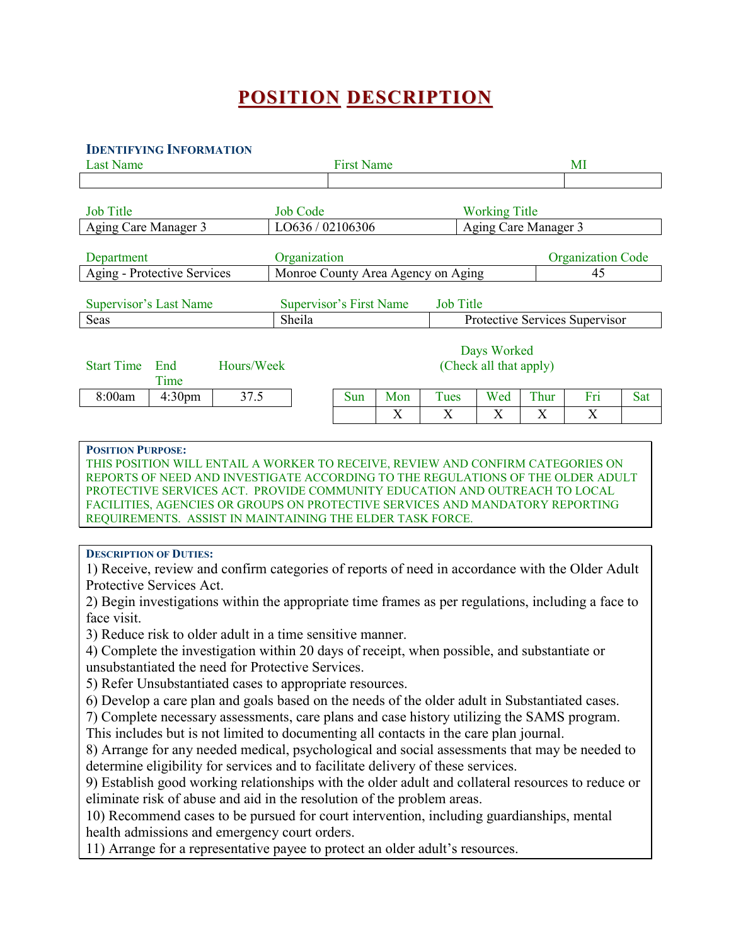# **POSITION DESCRIPTION**

#### **IDENTIFYING INFORMATION**

| <b>Last Name</b>                                                                                                                                                                                                         |                 |                                       |     |             |     |                          |                                |     |
|--------------------------------------------------------------------------------------------------------------------------------------------------------------------------------------------------------------------------|-----------------|---------------------------------------|-----|-------------|-----|--------------------------|--------------------------------|-----|
|                                                                                                                                                                                                                          |                 | <b>First Name</b>                     |     |             |     |                          | MI                             |     |
|                                                                                                                                                                                                                          |                 |                                       |     |             |     |                          |                                |     |
| <b>Job Title</b>                                                                                                                                                                                                         | <b>Job Code</b> | <b>Working Title</b>                  |     |             |     |                          |                                |     |
| Aging Care Manager 3                                                                                                                                                                                                     |                 | LO636 / 02106306                      |     |             |     | Aging Care Manager 3     |                                |     |
|                                                                                                                                                                                                                          |                 |                                       |     |             |     |                          |                                |     |
| Department                                                                                                                                                                                                               |                 | Organization                          |     |             |     | <b>Organization Code</b> |                                |     |
| Aging - Protective Services                                                                                                                                                                                              |                 | Monroe County Area Agency on Aging    |     |             |     |                          | 45                             |     |
| <b>Supervisor's Last Name</b><br><b>Supervisor's First Name</b><br><b>Job Title</b>                                                                                                                                      |                 |                                       |     |             |     |                          |                                |     |
| Seas                                                                                                                                                                                                                     | Sheila          |                                       |     |             |     |                          | Protective Services Supervisor |     |
| <b>Start Time</b><br>Hours/Week<br>End<br>Time                                                                                                                                                                           |                 | Days Worked<br>(Check all that apply) |     |             |     |                          |                                |     |
| 8:00am<br>4:30 <sub>pm</sub>                                                                                                                                                                                             | 37.5            | Sun                                   | Mon | <b>Tues</b> | Wed | Thur                     | Fri                            | Sat |
|                                                                                                                                                                                                                          |                 |                                       | X   | X           | X   | X                        | X                              |     |
| <b>POSITION PURPOSE:</b><br>THIS POSITION WILL ENTAIL A WORKER TO RECEIVE, REVIEW AND CONFIRM CATEGORIES ON<br>REPORTS OF NEED AND INVESTIGATE ACCORDING TO THE REGULATIONS OF THE OLDER ADULT                           |                 |                                       |     |             |     |                          |                                |     |
| PROTECTIVE SERVICES ACT. PROVIDE COMMUNITY EDUCATION AND OUTREACH TO LOCAL<br>FACILITIES, AGENCIES OR GROUPS ON PROTECTIVE SERVICES AND MANDATORY REPORTING<br>REQUIREMENTS. ASSIST IN MAINTAINING THE ELDER TASK FORCE. |                 |                                       |     |             |     |                          |                                |     |

eliminate risk of abuse and aid in the resolution of the problem areas.

10) Recommend cases to be pursued for court intervention, including guardianships, mental health admissions and emergency court orders.

11) Arrange for a representative payee to protect an older adult's resources.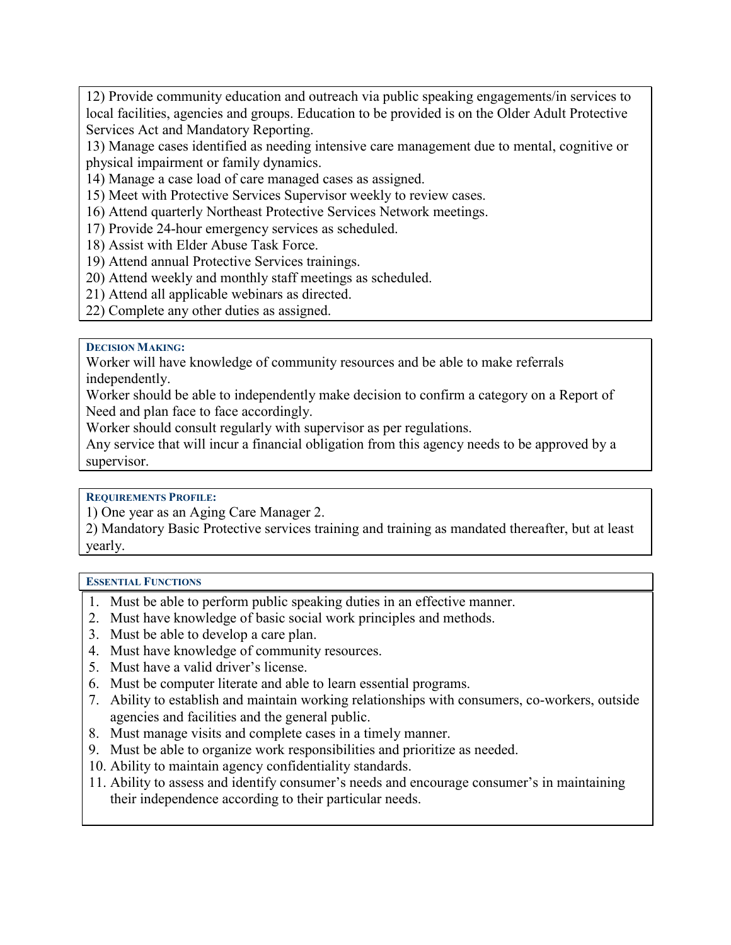12) Provide community education and outreach via public speaking engagements/in services to local facilities, agencies and groups. Education to be provided is on the Older Adult Protective Services Act and Mandatory Reporting.

13) Manage cases identified as needing intensive care management due to mental, cognitive or physical impairment or family dynamics.

14) Manage a case load of care managed cases as assigned.

15) Meet with Protective Services Supervisor weekly to review cases.

16) Attend quarterly Northeast Protective Services Network meetings.

17) Provide 24-hour emergency services as scheduled.

18) Assist with Elder Abuse Task Force.

19) Attend annual Protective Services trainings.

20) Attend weekly and monthly staff meetings as scheduled.

21) Attend all applicable webinars as directed.

22) Complete any other duties as assigned.

#### **DECISION MAKING:**

Worker will have knowledge of community resources and be able to make referrals independently.

Worker should be able to independently make decision to confirm a category on a Report of Need and plan face to face accordingly.

Worker should consult regularly with supervisor as per regulations.

Any service that will incur a financial obligation from this agency needs to be approved by a supervisor.

## **REQUIREMENTS PROFILE:**

1) One year as an Aging Care Manager 2.

2) Mandatory Basic Protective services training and training as mandated thereafter, but at least yearly.

## **ESSENTIAL FUNCTIONS**

- 1. Must be able to perform public speaking duties in an effective manner.
- 2. Must have knowledge of basic social work principles and methods.
- 3. Must be able to develop a care plan.
- 4. Must have knowledge of community resources.
- 5. Must have a valid driver's license.
- 6. Must be computer literate and able to learn essential programs.
- 7. Ability to establish and maintain working relationships with consumers, co-workers, outside agencies and facilities and the general public.
- 8. Must manage visits and complete cases in a timely manner.
- 9. Must be able to organize work responsibilities and prioritize as needed.
- 10. Ability to maintain agency confidentiality standards.
- 11. Ability to assess and identify consumer's needs and encourage consumer's in maintaining their independence according to their particular needs.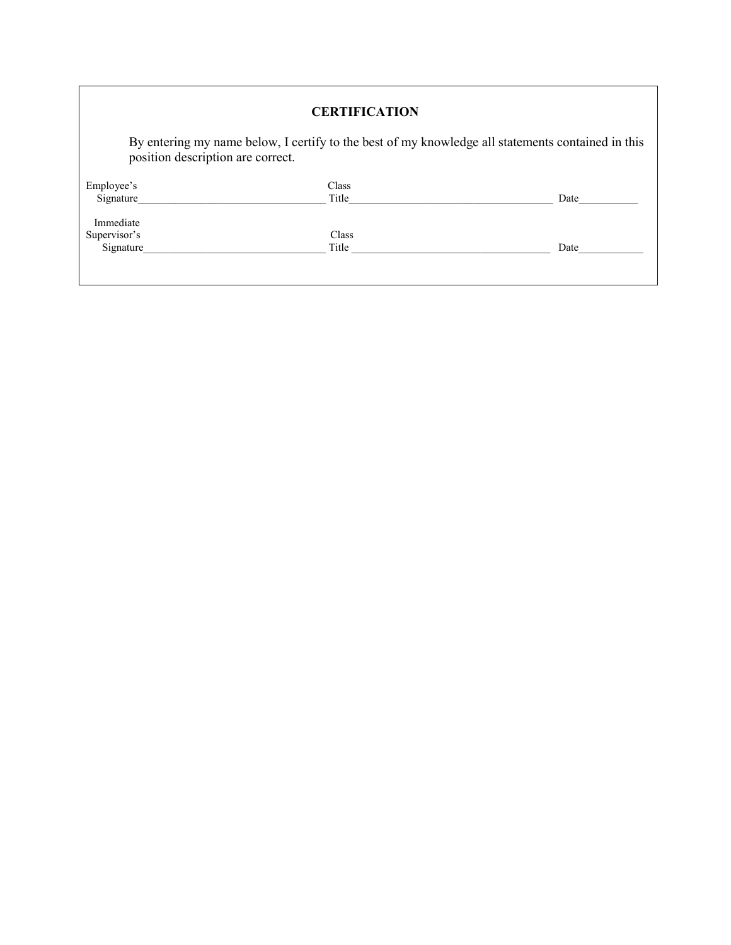| <b>CERTIFICATION</b><br>By entering my name below, I certify to the best of my knowledge all statements contained in this<br>position description are correct. |       |      |  |  |  |
|----------------------------------------------------------------------------------------------------------------------------------------------------------------|-------|------|--|--|--|
|                                                                                                                                                                |       |      |  |  |  |
| Signature                                                                                                                                                      | Title | Date |  |  |  |
| Immediate                                                                                                                                                      |       |      |  |  |  |
| Supervisor's                                                                                                                                                   | Class |      |  |  |  |
| Signature                                                                                                                                                      | Title | Date |  |  |  |
|                                                                                                                                                                |       |      |  |  |  |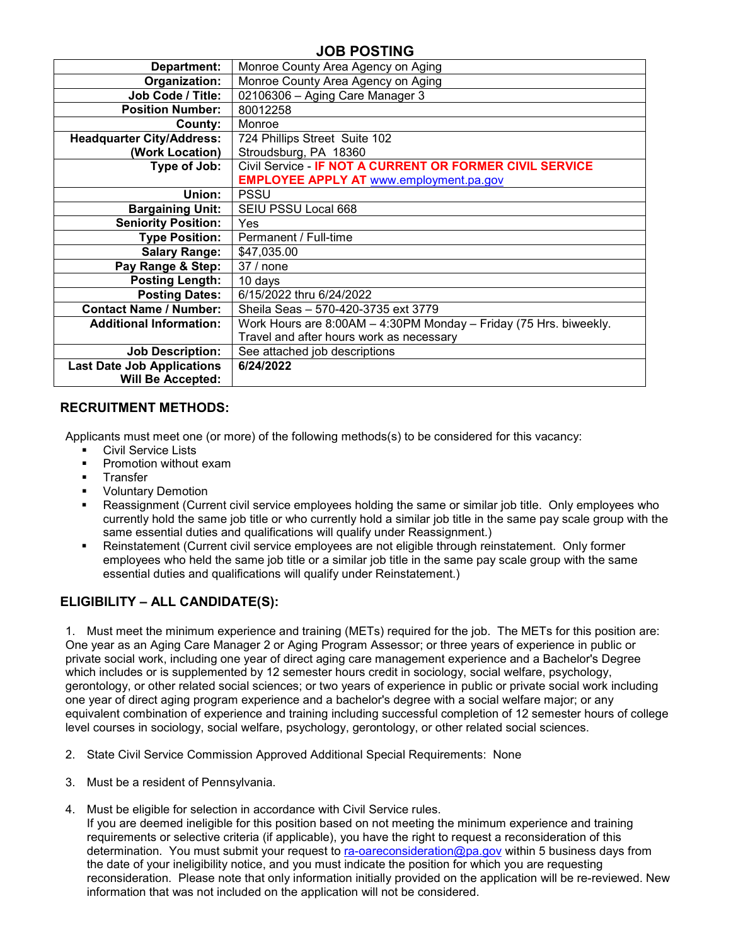# **JOB POSTING**

| Department:                       | Monroe County Area Agency on Aging                                |
|-----------------------------------|-------------------------------------------------------------------|
| Organization:                     | Monroe County Area Agency on Aging                                |
| Job Code / Title:                 | 02106306 - Aging Care Manager 3                                   |
| <b>Position Number:</b>           | 80012258                                                          |
| County:                           | Monroe                                                            |
| <b>Headquarter City/Address:</b>  | 724 Phillips Street Suite 102                                     |
| (Work Location)                   | Stroudsburg, PA 18360                                             |
| Type of Job:                      | Civil Service - IF NOT A CURRENT OR FORMER CIVIL SERVICE          |
|                                   | <b>EMPLOYEE APPLY AT www.employment.pa.gov</b>                    |
| Union:                            | <b>PSSU</b>                                                       |
| <b>Bargaining Unit:</b>           | SEIU PSSU Local 668                                               |
| <b>Seniority Position:</b>        | <b>Yes</b>                                                        |
| <b>Type Position:</b>             | Permanent / Full-time                                             |
| <b>Salary Range:</b>              | \$47,035.00                                                       |
| Pay Range & Step:                 | 37 / none                                                         |
| <b>Posting Length:</b>            | 10 days                                                           |
| <b>Posting Dates:</b>             | 6/15/2022 thru 6/24/2022                                          |
| <b>Contact Name / Number:</b>     | Sheila Seas - 570-420-3735 ext 3779                               |
| <b>Additional Information:</b>    | Work Hours are 8:00AM - 4:30PM Monday - Friday (75 Hrs. biweekly. |
|                                   | Travel and after hours work as necessary                          |
| <b>Job Description:</b>           | See attached job descriptions                                     |
| <b>Last Date Job Applications</b> | 6/24/2022                                                         |
| <b>Will Be Accepted:</b>          |                                                                   |

#### **RECRUITMENT METHODS:**

Applicants must meet one (or more) of the following methods(s) to be considered for this vacancy:

- **Civil Service Lists**
- Promotion without exam
- **Transfer**
- Voluntary Demotion
- Reassignment (Current civil service employees holding the same or similar job title. Only employees who currently hold the same job title or who currently hold a similar job title in the same pay scale group with the same essential duties and qualifications will qualify under Reassignment.)
- Reinstatement (Current civil service employees are not eligible through reinstatement. Only former employees who held the same job title or a similar job title in the same pay scale group with the same essential duties and qualifications will qualify under Reinstatement.)

# **ELIGIBILITY – ALL CANDIDATE(S):**

1. Must meet the minimum experience and training (METs) required for the job. The METs for this position are: One year as an Aging Care Manager 2 or Aging Program Assessor; or three years of experience in public or private social work, including one year of direct aging care management experience and a Bachelor's Degree which includes or is supplemented by 12 semester hours credit in sociology, social welfare, psychology, gerontology, or other related social sciences; or two years of experience in public or private social work including one year of direct aging program experience and a bachelor's degree with a social welfare major; or any equivalent combination of experience and training including successful completion of 12 semester hours of college level courses in sociology, social welfare, psychology, gerontology, or other related social sciences.

- 2. State Civil Service Commission Approved Additional Special Requirements: None
- 3. Must be a resident of Pennsylvania.
- 4. Must be eligible for selection in accordance with Civil Service rules.

If you are deemed ineligible for this position based on not meeting the minimum experience and training requirements or selective criteria (if applicable), you have the right to request a reconsideration of this determination. You must submit your request to [ra-oareconsideration@pa.gov](mailto:ra-oareconsideration@pa.gov) within 5 business days from the date of your ineligibility notice, and you must indicate the position for which you are requesting reconsideration. Please note that only information initially provided on the application will be re-reviewed. New information that was not included on the application will not be considered.